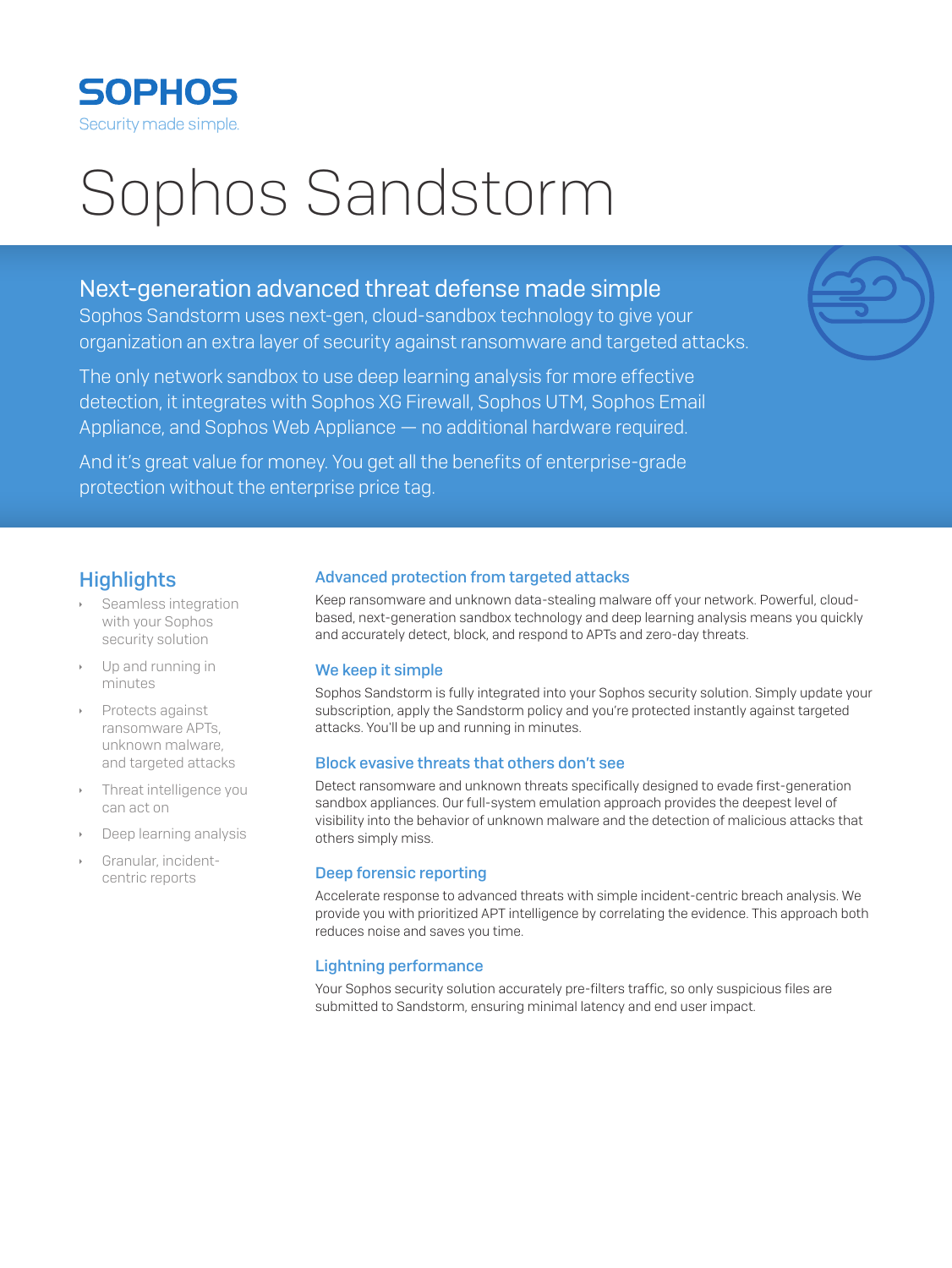

# Sophos Sandstorm

# Next-generation advanced threat defense made simple

Sophos Sandstorm uses next-gen, cloud-sandbox technology to give your organization an extra layer of security against ransomware and targeted attacks.

The only network sandbox to use deep learning analysis for more effective detection, it integrates with Sophos XG Firewall, Sophos UTM, Sophos Email Appliance, and Sophos Web Appliance — no additional hardware required.

And it's great value for money. You get all the benefits of enterprise-grade protection without the enterprise price tag.

## **Highlights**

- Seamless integration with your Sophos security solution
- Up and running in minutes
- **Protects against** ransomware APTs, unknown malware, and targeted attacks
- Threat intelligence you can act on
- Deep learning analysis
- Granular, incidentcentric reports

#### Advanced protection from targeted attacks

Keep ransomware and unknown data-stealing malware off your network. Powerful, cloudbased, next-generation sandbox technology and deep learning analysis means you quickly and accurately detect, block, and respond to APTs and zero-day threats.

## We keep it simple

Sophos Sandstorm is fully integrated into your Sophos security solution. Simply update your subscription, apply the Sandstorm policy and you're protected instantly against targeted attacks. You'll be up and running in minutes.

## Block evasive threats that others don't see

Detect ransomware and unknown threats specifically designed to evade first-generation sandbox appliances. Our full-system emulation approach provides the deepest level of visibility into the behavior of unknown malware and the detection of malicious attacks that others simply miss.

#### Deep forensic reporting

Accelerate response to advanced threats with simple incident-centric breach analysis. We provide you with prioritized APT intelligence by correlating the evidence. This approach both reduces noise and saves you time.

## Lightning performance

Your Sophos security solution accurately pre-filters traffic, so only suspicious files are submitted to Sandstorm, ensuring minimal latency and end user impact.